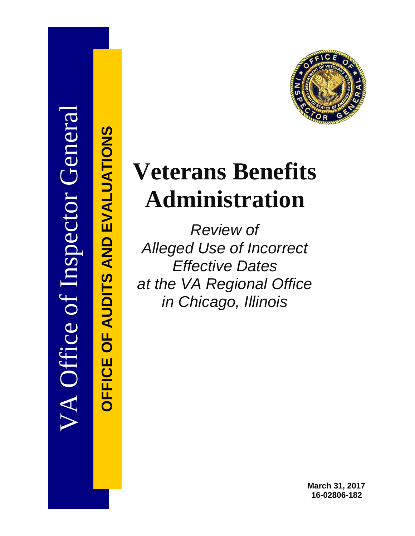

**OFFICE OF AUDITS AND EVALUATIONS**

**DEFICE OF AUDITS AND EVALUATIONS** 

# **Veterans Benefits Administration**

*Review of Alleged Use of Incorrect Effective Dates at the VA Regional Office in Chicago, Illinois* 

> **March 31, 2017 16-02806-182**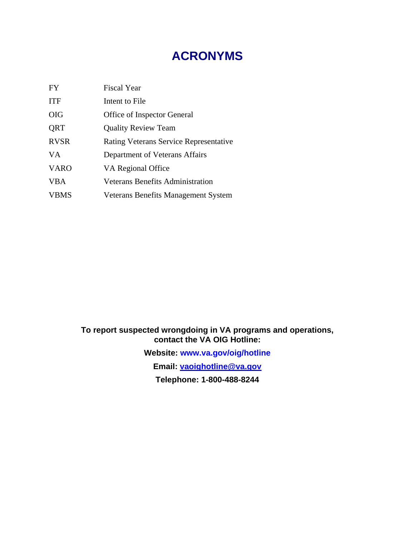# **ACRONYMS**

| <b>FY</b>   | <b>Fiscal Year</b>                            |
|-------------|-----------------------------------------------|
| <b>ITF</b>  | Intent to File                                |
| <b>OIG</b>  | Office of Inspector General                   |
| QRT         | <b>Quality Review Team</b>                    |
| <b>RVSR</b> | <b>Rating Veterans Service Representative</b> |
| <b>VA</b>   | Department of Veterans Affairs                |
| <b>VARO</b> | VA Regional Office                            |
| <b>VBA</b>  | <b>Veterans Benefits Administration</b>       |
| <b>VBMS</b> | Veterans Benefits Management System           |

#### **To report suspected wrongdoing in VA programs and operations, contact the VA OIG Hotline:**

**Website: [www.va.gov/oig/hotline](http://www.va.gov/oig/hotline) Email: [vaoighotline@va.gov](mailto:vaoighotline@va.gov) Telephone: 1-800-488-8244**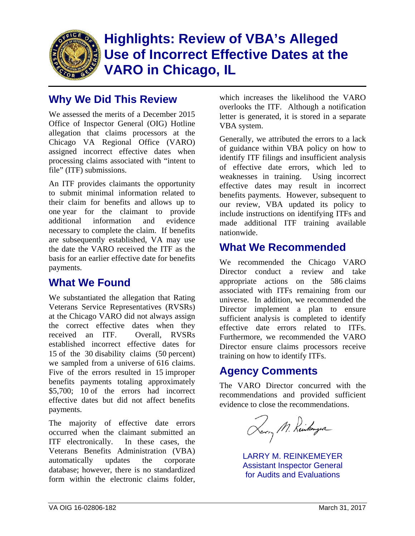

# **Highlights: Review of VBA's Alleged Use of Incorrect Effective Dates at the VARO in Chicago, IL**

## **Why We Did This Review**

We assessed the merits of a December 2015 Office of Inspector General (OIG) Hotline allegation that claims processors at the Chicago VA Regional Office (VARO) assigned incorrect effective dates when processing claims associated with "intent to file" (ITF) submissions.

An ITF provides claimants the opportunity to submit minimal information related to their claim for benefits and allows up to one year for the claimant to provide additional information and evidence necessary to complete the claim. If benefits are subsequently established, VA may use the date the VARO received the ITF as the basis for an earlier effective date for benefits payments.

## **What We Found**

We substantiated the allegation that Rating Veterans Service Representatives (RVSRs) at the Chicago VARO did not always assign the correct effective dates when they received an ITF. Overall, RVSRs established incorrect effective dates for 15 of the 30 disability claims (50 percent) we sampled from a universe of 616 claims. Five of the errors resulted in 15 improper benefits payments totaling approximately \$5,700; 10 of the errors had incorrect effective dates but did not affect benefits payments.

The majority of effective date errors occurred when the claimant submitted an ITF electronically. In these cases, the Veterans Benefits Administration (VBA) automatically updates the corporate database; however, there is no standardized form within the electronic claims folder,

which increases the likelihood the VARO overlooks the ITF. Although a notification letter is generated, it is stored in a separate VBA system.

Generally, we attributed the errors to a lack of guidance within VBA policy on how to identify ITF filings and insufficient analysis of effective date errors, which led to weaknesses in training. Using incorrect effective dates may result in incorrect benefits payments. However, subsequent to our review, VBA updated its policy to include instructions on identifying ITFs and made additional ITF training available nationwide.

### **What We Recommended**

We recommended the Chicago VARO Director conduct a review and take appropriate actions on the 586 claims associated with ITFs remaining from our universe. In addition, we recommended the Director implement a plan to ensure sufficient analysis is completed to identify effective date errors related to ITFs. Furthermore, we recommended the VARO Director ensure claims processors receive training on how to identify ITFs.

## **Agency Comments**

The VARO Director concurred with the recommendations and provided sufficient evidence to close the recommendations.

Larry M. Reinkomzer

LARRY M. REINKEMEYER Assistant Inspector General for Audits and Evaluations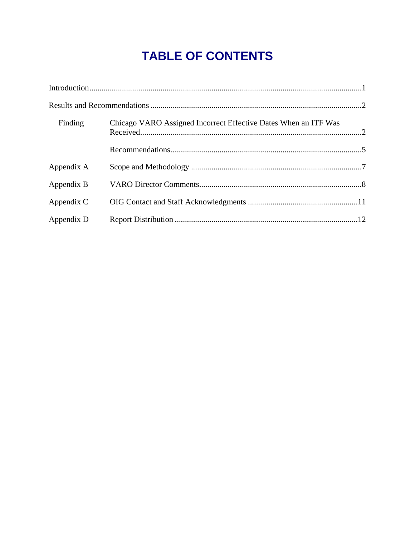# **TABLE OF CONTENTS**

| Finding    | Chicago VARO Assigned Incorrect Effective Dates When an ITF Was |  |
|------------|-----------------------------------------------------------------|--|
|            |                                                                 |  |
| Appendix A |                                                                 |  |
| Appendix B |                                                                 |  |
| Appendix C |                                                                 |  |
| Appendix D |                                                                 |  |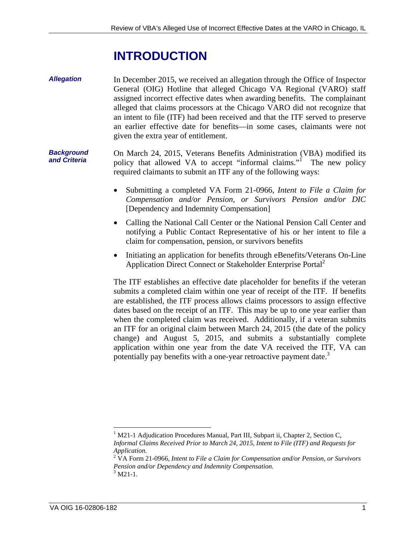# **INTRODUCTION**

<span id="page-4-0"></span>*Allegation*  In December 2015, we received an allegation through the Office of Inspector General (OIG) Hotline that alleged Chicago VA Regional (VARO) staff assigned incorrect effective dates when awarding benefits. The complainant alleged that claims processors at the Chicago VARO did not recognize that an intent to file (ITF) had been received and that the ITF served to preserve an earlier effective date for benefits—in some cases, claimants were not given the extra year of entitlement.

*Background and Criteria*  On March 24, 2015, Veterans Benefits Administration (VBA) modified its policy that allowed VA to accept "informal claims."<sup>1</sup> The new policy required claimants to submit an ITF any of the following ways:

- Submitting a completed VA Form 21-0966, *Intent to File a Claim for Compensation and/or Pension, or Survivors Pension and/or DIC*  [Dependency and Indemnity Compensation]
- Calling the National Call Center or the National Pension Call Center and notifying a Public Contact Representative of his or her intent to file a claim for compensation, pension, or survivors benefits
- Initiating an application for benefits through eBenefits/Veterans On-Line Application Direct Connect or Stakeholder Enterprise Portal<sup>2</sup>

The ITF establishes an effective date placeholder for benefits if the veteran submits a completed claim within one year of receipt of the ITF. If benefits are established, the ITF process allows claims processors to assign effective dates based on the receipt of an ITF. This may be up to one year earlier than when the completed claim was received. Additionally, if a veteran submits an ITF for an original claim between March 24, 2015 (the date of the policy change) and August 5, 2015, and submits a substantially complete application within one year from the date VA received the ITF, VA can potentially pay benefits with a one-year retroactive payment date.<sup>3</sup>

<sup>&</sup>lt;sup>1</sup> M21-1 Adjudication Procedures Manual, Part III, Subpart ii, Chapter 2, Section C, *Informal Claims Received Prior to March 24, 2015, Intent to File (ITF) and Requests for Application.*

<sup>2</sup> VA Form 21-0966, *Intent to File a Claim for Compensation and/or Pension, or Survivors Pension and/or Dependency and Indemnity Compensation.*  $3$  M21-1.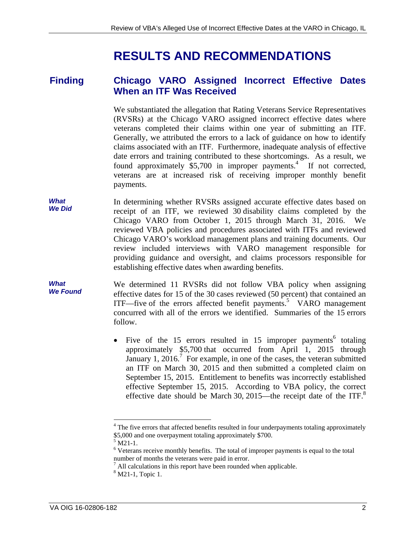# **RESULTS AND RECOMMENDATIONS**

#### <span id="page-5-0"></span>**Finding Chicago VARO Assigned Incorrect Effective Dates When an ITF Was Received**

veterans completed their claims within one year of submitting an ITF. We substantiated the allegation that Rating Veterans Service Representatives (RVSRs) at the Chicago VARO assigned incorrect effective dates where Generally, we attributed the errors to a lack of guidance on how to identify claims associated with an ITF. Furthermore, inadequate analysis of effective date errors and training contributed to these shortcomings. As a result, we found approximately  $$5,700$  in improper payments.<sup>4</sup> If not corrected, veterans are at increased risk of receiving improper monthly benefit payments.

- Chicago VARO's workload management plans and training documents. Our *What We Did*  In determining whether RVSRs assigned accurate effective dates based on receipt of an ITF, we reviewed 30 disability claims completed by the Chicago VARO from October 1, 2015 through March 31, 2016. We reviewed VBA policies and procedures associated with ITFs and reviewed review included interviews with VARO management responsible for providing guidance and oversight, and claims processors responsible for establishing effective dates when awarding benefits.
- *What We Found*  We determined 11 RVSRs did not follow VBA policy when assigning effective dates for 15 of the 30 cases reviewed (50 percent) that contained an ITF—five of the errors affected benefit payments.<sup>5</sup> VARO management concurred with all of the errors we identified. Summaries of the 15 errors follow.
	- effective date should be March 30, 2015—the receipt date of the ITF. $8$ • Five of the 15 errors resulted in 15 improper payments<sup>6</sup> totaling approximately \$5,700 that occurred from April 1, 2015 through January 1, 2016.<sup>7</sup> For example, in one of the cases, the veteran submitted an ITF on March 30, 2015 and then submitted a completed claim on September 15, 2015. Entitlement to benefits was incorrectly established effective September 15, 2015. According to VBA policy, the correct

<sup>&</sup>lt;sup>4</sup> The five errors that affected benefits resulted in four underpayments totaling approximately \$5,000 and one overpayment totaling approximately \$700.

 $^{5}$  M21-1.

 $6$  Veterans receive monthly benefits. The total of improper payments is equal to the total number of months the veterans were paid in error.

 All calculations in this report have been rounded when applicable. 7

<sup>8</sup> M21-1, Topic 1.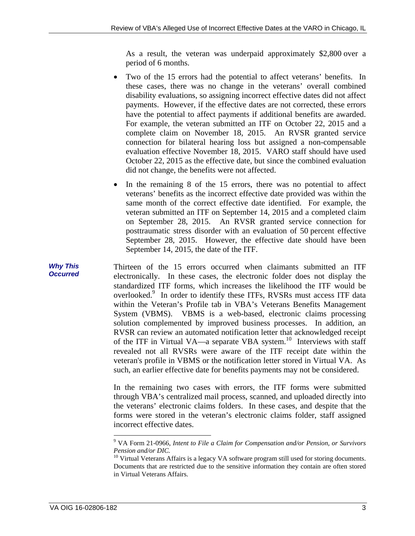As a result, the veteran was underpaid approximately \$2,800 over a period of 6 months.

- Two of the 15 errors had the potential to affect veterans' benefits. In these cases, there was no change in the veterans' overall combined disability evaluations, so assigning incorrect effective dates did not affect payments. However, if the effective dates are not corrected, these errors have the potential to affect payments if additional benefits are awarded. For example, the veteran submitted an ITF on October 22, 2015 and a complete claim on November 18, 2015. An RVSR granted service connection for bilateral hearing loss but assigned a non-compensable evaluation effective November 18, 2015. VARO staff should have used October 22, 2015 as the effective date, but since the combined evaluation did not change, the benefits were not affected.
- In the remaining 8 of the 15 errors, there was no potential to affect veterans' benefits as the incorrect effective date provided was within the same month of the correct effective date identified. For example, the veteran submitted an ITF on September 14, 2015 and a completed claim on September 28, 2015. An RVSR granted service connection for posttraumatic stress disorder with an evaluation of 50 percent effective September 28, 2015. However, the effective date should have been September 14, 2015, the date of the ITF.

Thirteen of the 15 errors occurred when claimants submitted an ITF electronically. In these cases, the electronic folder does not display the standardized ITF forms, which increases the likelihood the ITF would be overlooked.<sup>9</sup> In order to identify these ITFs, RVSRs must access ITF data within the Veteran's Profile tab in VBA's Veterans Benefits Management System (VBMS). VBMS is a web-based, electronic claims processing solution complemented by improved business processes. In addition, an RVSR can review an automated notification letter that acknowledged receipt of the ITF in Virtual VA—a separate VBA system.<sup>10</sup> Interviews with staff revealed not all RVSRs were aware of the ITF receipt date within the veteran's profile in VBMS or the notification letter stored in Virtual VA. As such, an earlier effective date for benefits payments may not be considered.

In the remaining two cases with errors, the ITF forms were submitted through VBA's centralized mail process, scanned, and uploaded directly into the veterans' electronic claims folders. In these cases, and despite that the forms were stored in the veteran's electronic claims folder, staff assigned incorrect effective dates.

*Why This Occurred* 

<sup>9</sup> VA Form 21-0966, *Intent to File a Claim for Compensation and/or Pension, or Survivors Pension and/or DIC.*

 $10$  Virtual Veterans Affairs is a legacy VA software program still used for storing documents. Documents that are restricted due to the sensitive information they contain are often stored in Virtual Veterans Affairs.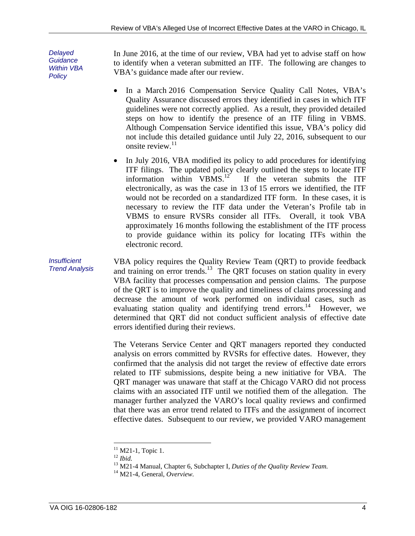*Delayed Guidance Within VBA Policy* 

In June 2016, at the time of our review, VBA had yet to advise staff on how to identify when a veteran submitted an ITF. The following are changes to VBA's guidance made after our review.

- In a March 2016 Compensation Service Quality Call Notes, VBA's Quality Assurance discussed errors they identified in cases in which ITF guidelines were not correctly applied. As a result, they provided detailed steps on how to identify the presence of an ITF filing in VBMS. Although Compensation Service identified this issue, VBA's policy did not include this detailed guidance until July 22, 2016, subsequent to our onsite review. $11$
- In July 2016, VBA modified its policy to add procedures for identifying ITF filings. The updated policy clearly outlined the steps to locate ITF information within  $VBMS$ .<sup>12</sup> If the veteran submits the ITF If the veteran submits the ITF electronically, as was the case in 13 of 15 errors we identified, the ITF would not be recorded on a standardized ITF form. In these cases, it is necessary to review the ITF data under the Veteran's Profile tab in VBMS to ensure RVSRs consider all ITFs. Overall, it took VBA approximately 16 months following the establishment of the ITF process to provide guidance within its policy for locating ITFs within the electronic record.

*Insufficient Trend Analysis*  VBA policy requires the Quality Review Team (QRT) to provide feedback and training on error trends.<sup>13</sup> The QRT focuses on station quality in every VBA facility that processes compensation and pension claims. The purpose of the QRT is to improve the quality and timeliness of claims processing and decrease the amount of work performed on individual cases, such as evaluating station quality and identifying trend errors.<sup>14</sup> However, we determined that QRT did not conduct sufficient analysis of effective date errors identified during their reviews.

> The Veterans Service Center and QRT managers reported they conducted analysis on errors committed by RVSRs for effective dates. However, they confirmed that the analysis did not target the review of effective date errors related to ITF submissions, despite being a new initiative for VBA. The QRT manager was unaware that staff at the Chicago VARO did not process claims with an associated ITF until we notified them of the allegation. The manager further analyzed the VARO's local quality reviews and confirmed that there was an error trend related to ITFs and the assignment of incorrect effective dates. Subsequent to our review, we provided VARO management

<sup>&</sup>lt;sup>11</sup> M21-1, Topic 1.<br><sup>12</sup> *Ibid*.

 $12$  Ibid.

<sup>&</sup>lt;sup>12</sup> Ibid.<br><sup>13</sup> M21-4 Manual, Chapter 6, Subchapter I, *Duties of the Quality Review Team*. <sup>13</sup> M21-4 Manual, Chapter 6, Subchapter I, *Duties of the Quality Review Team.*<br><sup>14</sup> M21-4, General, *Overview*.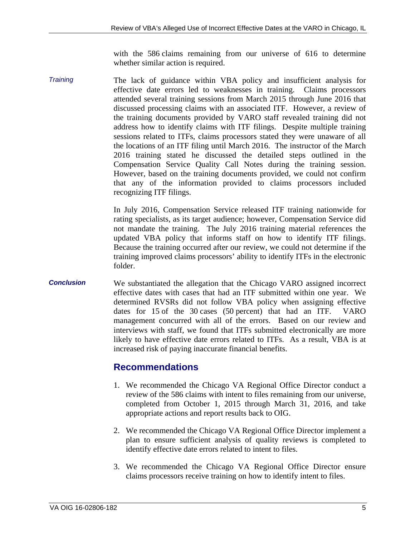with the 586 claims remaining from our universe of 616 to determine whether similar action is required.

Compensation Service Quality Call Notes during the training session. *Training*  The lack of guidance within VBA policy and insufficient analysis for effective date errors led to weaknesses in training. Claims processors attended several training sessions from March 2015 through June 2016 that discussed processing claims with an associated ITF. However, a review of the training documents provided by VARO staff revealed training did not address how to identify claims with ITF filings. Despite multiple training sessions related to ITFs, claims processors stated they were unaware of all the locations of an ITF filing until March 2016. The instructor of the March 2016 training stated he discussed the detailed steps outlined in the However, based on the training documents provided, we could not confirm that any of the information provided to claims processors included recognizing ITF filings.

> In July 2016, Compensation Service released ITF training nationwide for rating specialists, as its target audience; however, Compensation Service did not mandate the training. The July 2016 training material references the updated VBA policy that informs staff on how to identify ITF filings. Because the training occurred after our review, we could not determine if the training improved claims processors' ability to identify ITFs in the electronic folder.

*Conclusion*  We substantiated the allegation that the Chicago VARO assigned incorrect effective dates with cases that had an ITF submitted within one year. We determined RVSRs did not follow VBA policy when assigning effective dates for 15 of the 30 cases (50 percent) that had an ITF. VARO management concurred with all of the errors. Based on our review and interviews with staff, we found that ITFs submitted electronically are more likely to have effective date errors related to ITFs. As a result, VBA is at increased risk of paying inaccurate financial benefits.

#### **Recommendations**

- 1. We recommended the Chicago VA Regional Office Director conduct a review of the 586 claims with intent to files remaining from our universe, completed from October 1, 2015 through March 31, 2016, and take appropriate actions and report results back to OIG.
- 2. We recommended the Chicago VA Regional Office Director implement a plan to ensure sufficient analysis of quality reviews is completed to identify effective date errors related to intent to files.
- 3. We recommended the Chicago VA Regional Office Director ensure claims processors receive training on how to identify intent to files.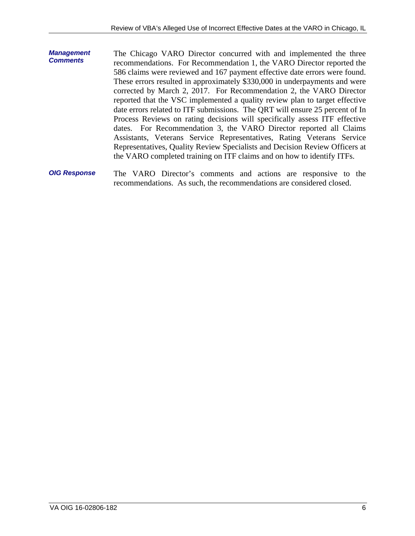- <span id="page-9-0"></span>*Management Comments*  The Chicago VARO Director concurred with and implemented the three recommendations. For Recommendation 1, the VARO Director reported the 586 claims were reviewed and 167 payment effective date errors were found. These errors resulted in approximately \$330,000 in underpayments and were corrected by March 2, 2017. For Recommendation 2, the VARO Director reported that the VSC implemented a quality review plan to target effective date errors related to ITF submissions. The QRT will ensure 25 percent of In Process Reviews on rating decisions will specifically assess ITF effective dates. For Recommendation 3, the VARO Director reported all Claims Assistants, Veterans Service Representatives, Rating Veterans Service Representatives, Quality Review Specialists and Decision Review Officers at the VARO completed training on ITF claims and on how to identify ITFs.
- *OIG Response*  The VARO Director's comments and actions are responsive to the recommendations. As such, the recommendations are considered closed.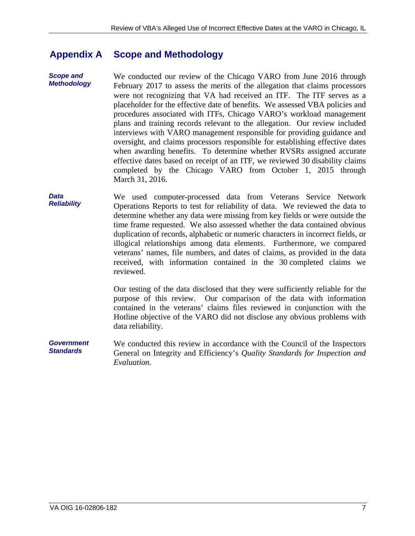#### <span id="page-10-0"></span>**Appendix A Scope and Methodology**

 plans and training records relevant to the allegation. Our review included *Scope and Methodology*  We conducted our review of the Chicago VARO from June 2016 through February 2017 to assess the merits of the allegation that claims processors were not recognizing that VA had received an ITF. The ITF serves as a placeholder for the effective date of benefits. We assessed VBA policies and procedures associated with ITFs, Chicago VARO's workload management interviews with VARO management responsible for providing guidance and oversight, and claims processors responsible for establishing effective dates when awarding benefits. To determine whether RVSRs assigned accurate effective dates based on receipt of an ITF, we reviewed 30 disability claims completed by the Chicago VARO from October 1, 2015 through March 31, 2016.

*Data Reliability*  We used computer-processed data from Veterans Service Network Operations Reports to test for reliability of data. We reviewed the data to determine whether any data were missing from key fields or were outside the time frame requested. We also assessed whether the data contained obvious duplication of records, alphabetic or numeric characters in incorrect fields, or illogical relationships among data elements. Furthermore, we compared veterans' names, file numbers, and dates of claims, as provided in the data received, with information contained in the 30 completed claims we reviewed.

> Our testing of the data disclosed that they were sufficiently reliable for the purpose of this review. Our comparison of the data with information contained in the veterans' claims files reviewed in conjunction with the Hotline objective of the VARO did not disclose any obvious problems with data reliability.

*Government Standards*  We conducted this review in accordance with the Council of the Inspectors General on Integrity and Efficiency's *Quality Standards for Inspection and Evaluation.*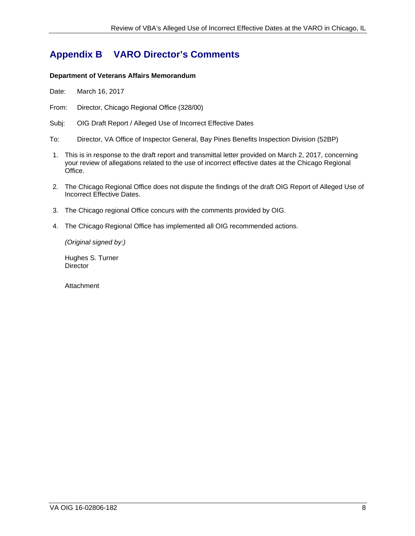## <span id="page-11-0"></span>**Appendix B VARO Director's Comments**

#### **Department of Veterans Affairs Memorandum**

Date: March 16, 2017

From: Director, Chicago Regional Office (328/00)

Subj: OIG Draft Report / Alleged Use of Incorrect Effective Dates

- To: Director, VA Office of Inspector General, Bay Pines Benefits Inspection Division (52BP)
- 1. This is in response to the draft report and transmittal letter provided on March 2, 2017, concerning your review of allegations related to the use of incorrect effective dates at the Chicago Regional Office.
- 2. The Chicago Regional Office does not dispute the findings of the draft OIG Report of Alleged Use of Incorrect Effective Dates.
- 3. The Chicago regional Office concurs with the comments provided by OIG.
- 4. The Chicago Regional Office has implemented all OIG recommended actions.

*(Original signed by:)* 

Hughes S. Turner **Director** 

**Attachment**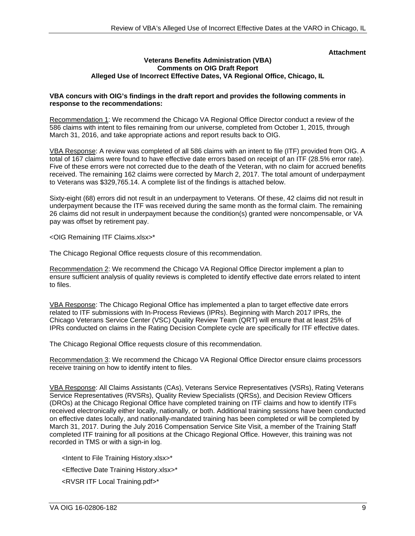#### **Attachment**

#### **Veterans Benefits Administration (VBA) Comments on OIG Draft Report Alleged Use of Incorrect Effective Dates, VA Regional Office, Chicago, IL**

#### **VBA concurs with OIG's findings in the draft report and provides the following comments in response to the recommendations:**

Recommendation 1: We recommend the Chicago VA Regional Office Director conduct a review of the 586 claims with intent to files remaining from our universe, completed from October 1, 2015, through March 31, 2016, and take appropriate actions and report results back to OIG.

VBA Response: A review was completed of all 586 claims with an intent to file (ITF) provided from OIG. A total of 167 claims were found to have effective date errors based on receipt of an ITF (28.5% error rate). Five of these errors were not corrected due to the death of the Veteran, with no claim for accrued benefits received. The remaining 162 claims were corrected by March 2, 2017. The total amount of underpayment to Veterans was \$329,765.14. A complete list of the findings is attached below.

Sixty-eight (68) errors did not result in an underpayment to Veterans. Of these, 42 claims did not result in underpayment because the ITF was received during the same month as the formal claim. The remaining 26 claims did not result in underpayment because the condition(s) granted were noncompensable, or VA pay was offset by retirement pay.

<OIG Remaining ITF Claims.xlsx>\*

The Chicago Regional Office requests closure of this recommendation.

Recommendation 2: We recommend the Chicago VA Regional Office Director implement a plan to ensure sufficient analysis of quality reviews is completed to identify effective date errors related to intent to files.

VBA Response: The Chicago Regional Office has implemented a plan to target effective date errors related to ITF submissions with In-Process Reviews (IPRs). Beginning with March 2017 IPRs, the Chicago Veterans Service Center (VSC) Quality Review Team (QRT) will ensure that at least 25% of IPRs conducted on claims in the Rating Decision Complete cycle are specifically for ITF effective dates.

The Chicago Regional Office requests closure of this recommendation.

Recommendation 3: We recommend the Chicago VA Regional Office Director ensure claims processors receive training on how to identify intent to files.

VBA Response: All Claims Assistants (CAs), Veterans Service Representatives (VSRs), Rating Veterans Service Representatives (RVSRs), Quality Review Specialists (QRSs), and Decision Review Officers (DROs) at the Chicago Regional Office have completed training on ITF claims and how to identify ITFs received electronically either locally, nationally, or both. Additional training sessions have been conducted on effective dates locally, and nationally-mandated training has been completed or will be completed by March 31, 2017. During the July 2016 Compensation Service Site Visit, a member of the Training Staff completed ITF training for all positions at the Chicago Regional Office. However, this training was not recorded in TMS or with a sign-in log.

<Intent to File Training History.xlsx>\* <Effective Date Training History.xlsx>\* <RVSR ITF Local Training.pdf>\*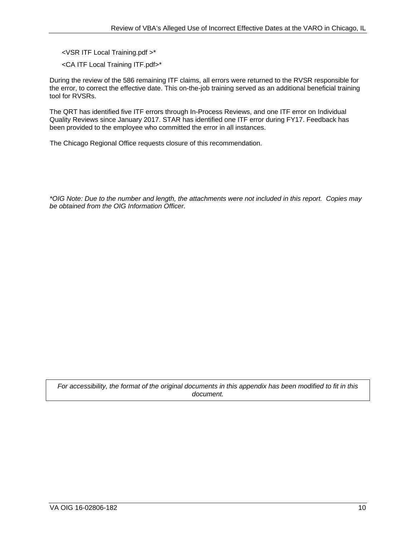<VSR ITF Local Training.pdf >\*

<CA ITF Local Training ITF.pdf>\*

During the review of the 586 remaining ITF claims, all errors were returned to the RVSR responsible for the error, to correct the effective date. This on-the-job training served as an additional beneficial training tool for RVSRs.

The QRT has identified five ITF errors through In-Process Reviews, and one ITF error on Individual Quality Reviews since January 2017. STAR has identified one ITF error during FY17. Feedback has been provided to the employee who committed the error in all instances.

The Chicago Regional Office requests closure of this recommendation.

*\*OIG Note: Due to the number and length, the attachments were not included in this report. Copies may be obtained from the OIG Information Officer.* 

*For accessibility, the format of the original documents in this appendix has been modified to fit in this document.*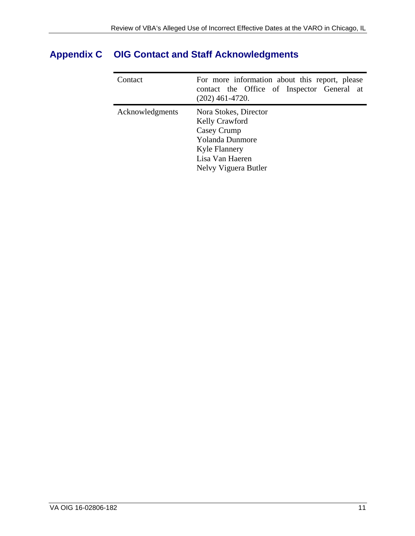| Contact         | For more information about this report, please<br>contact the Office of Inspector General at<br>$(202)$ 461-4720.                                   |
|-----------------|-----------------------------------------------------------------------------------------------------------------------------------------------------|
| Acknowledgments | Nora Stokes, Director<br>Kelly Crawford<br>Casey Crump<br><b>Yolanda Dunmore</b><br><b>Kyle Flannery</b><br>Lisa Van Haeren<br>Nelvy Viguera Butler |

## <span id="page-14-0"></span>**Appendix C OIG Contact and Staff Acknowledgments**